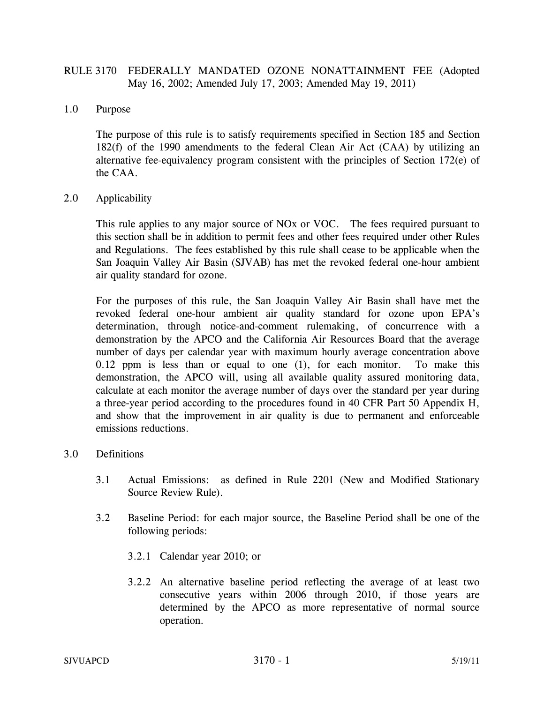# RULE 3170 FEDERALLY MANDATED OZONE NONATTAINMENT FEE (Adopted May 16, 2002; Amended July 17, 2003; Amended May 19, 2011)

## 1.0 Purpose

The purpose of this rule is to satisfy requirements specified in Section 185 and Section 182(f) of the 1990 amendments to the federal Clean Air Act (CAA) by utilizing an alternative fee-equivalency program consistent with the principles of Section 172(e) of the CAA.

#### 2.0 Applicability

This rule applies to any major source of NOx or VOC. The fees required pursuant to this section shall be in addition to permit fees and other fees required under other Rules and Regulations. The fees established by this rule shall cease to be applicable when the San Joaquin Valley Air Basin (SJVAB) has met the revoked federal one-hour ambient air quality standard for ozone.

For the purposes of this rule, the San Joaquin Valley Air Basin shall have met the revoked federal one-hour ambient air quality standard for ozone upon EPA's determination, through notice-and-comment rulemaking, of concurrence with a demonstration by the APCO and the California Air Resources Board that the average number of days per calendar year with maximum hourly average concentration above 0.12 ppm is less than or equal to one (1), for each monitor. To make this demonstration, the APCO will, using all available quality assured monitoring data, calculate at each monitor the average number of days over the standard per year during a three-year period according to the procedures found in 40 CFR Part 50 Appendix H, and show that the improvement in air quality is due to permanent and enforceable emissions reductions.

### 3.0 Definitions

- 3.1 Actual Emissions: as defined in Rule 2201 (New and Modified Stationary Source Review Rule).
- 3.2 Baseline Period: for each major source, the Baseline Period shall be one of the following periods:
	- 3.2.1 Calendar year 2010; or
	- 3.2.2 An alternative baseline period reflecting the average of at least two consecutive years within 2006 through 2010, if those years are determined by the APCO as more representative of normal source operation.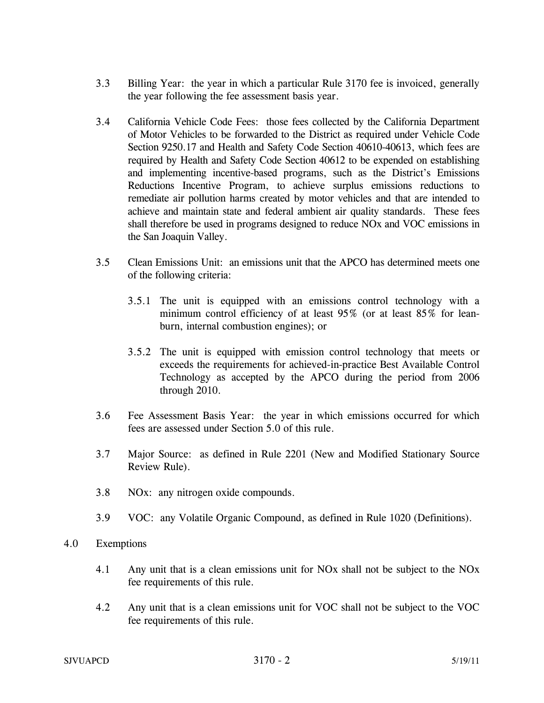- 3.3 Billing Year: the year in which a particular Rule 3170 fee is invoiced, generally the year following the fee assessment basis year.
- 3.4 California Vehicle Code Fees: those fees collected by the California Department of Motor Vehicles to be forwarded to the District as required under Vehicle Code Section 9250.17 and Health and Safety Code Section 40610-40613, which fees are required by Health and Safety Code Section 40612 to be expended on establishing and implementing incentive-based programs, such as the District's Emissions Reductions Incentive Program, to achieve surplus emissions reductions to remediate air pollution harms created by motor vehicles and that are intended to achieve and maintain state and federal ambient air quality standards. These fees shall therefore be used in programs designed to reduce NOx and VOC emissions in the San Joaquin Valley.
- 3.5 Clean Emissions Unit: an emissions unit that the APCO has determined meets one of the following criteria:
	- 3.5.1 The unit is equipped with an emissions control technology with a minimum control efficiency of at least 95% (or at least 85% for leanburn, internal combustion engines); or
	- 3.5.2 The unit is equipped with emission control technology that meets or exceeds the requirements for achieved-in-practice Best Available Control Technology as accepted by the APCO during the period from 2006 through 2010.
- 3.6 Fee Assessment Basis Year: the year in which emissions occurred for which fees are assessed under Section 5.0 of this rule.
- 3.7 Major Source: as defined in Rule 2201 (New and Modified Stationary Source Review Rule).
- 3.8 NOx: any nitrogen oxide compounds.
- 3.9 VOC: any Volatile Organic Compound, as defined in Rule 1020 (Definitions).
- 4.0 Exemptions
	- 4.1 Any unit that is a clean emissions unit for NOx shall not be subject to the NOx fee requirements of this rule.
	- 4.2 Any unit that is a clean emissions unit for VOC shall not be subject to the VOC fee requirements of this rule.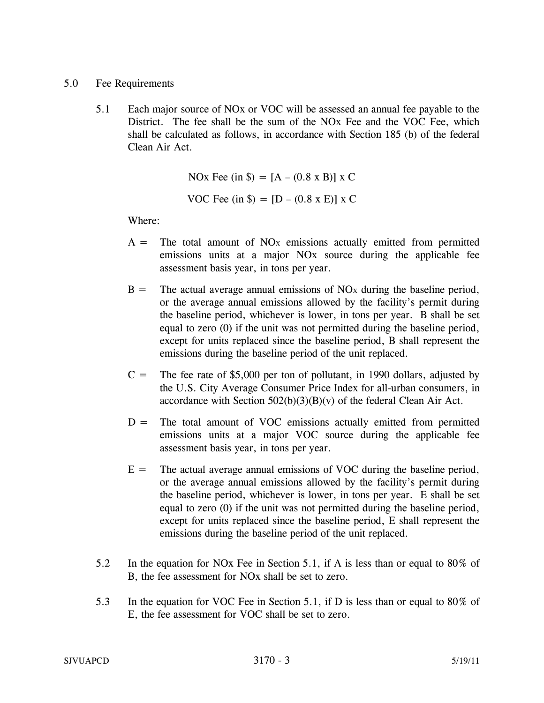## 5.0 Fee Requirements

5.1 Each major source of NOx or VOC will be assessed an annual fee payable to the District. The fee shall be the sum of the NOx Fee and the VOC Fee, which shall be calculated as follows, in accordance with Section 185 (b) of the federal Clean Air Act.

> NOx Fee (in  $\phi$ ) = [A – (0.8 x B)] x C VOC Fee (in  $\phi = [D - (0.8 \times E)] \times C$

Where:

- $A =$  The total amount of NO<sub>x</sub> emissions actually emitted from permitted emissions units at a major NOx source during the applicable fee assessment basis year, in tons per year.
- $B =$  The actual average annual emissions of NO<sub>x</sub> during the baseline period, or the average annual emissions allowed by the facility's permit during the baseline period, whichever is lower, in tons per year. B shall be set equal to zero (0) if the unit was not permitted during the baseline period, except for units replaced since the baseline period, B shall represent the emissions during the baseline period of the unit replaced.
- $C =$  The fee rate of \$5,000 per ton of pollutant, in 1990 dollars, adjusted by the U.S. City Average Consumer Price Index for all-urban consumers, in accordance with Section  $502(b)(3)(B)(v)$  of the federal Clean Air Act.
- $D =$  The total amount of VOC emissions actually emitted from permitted emissions units at a major VOC source during the applicable fee assessment basis year, in tons per year.
- $E =$  The actual average annual emissions of VOC during the baseline period, or the average annual emissions allowed by the facility's permit during the baseline period, whichever is lower, in tons per year. E shall be set equal to zero (0) if the unit was not permitted during the baseline period, except for units replaced since the baseline period, E shall represent the emissions during the baseline period of the unit replaced.
- 5.2 In the equation for NOx Fee in Section 5.1, if A is less than or equal to 80% of B, the fee assessment for NOx shall be set to zero.
- 5.3 In the equation for VOC Fee in Section 5.1, if D is less than or equal to 80% of E, the fee assessment for VOC shall be set to zero.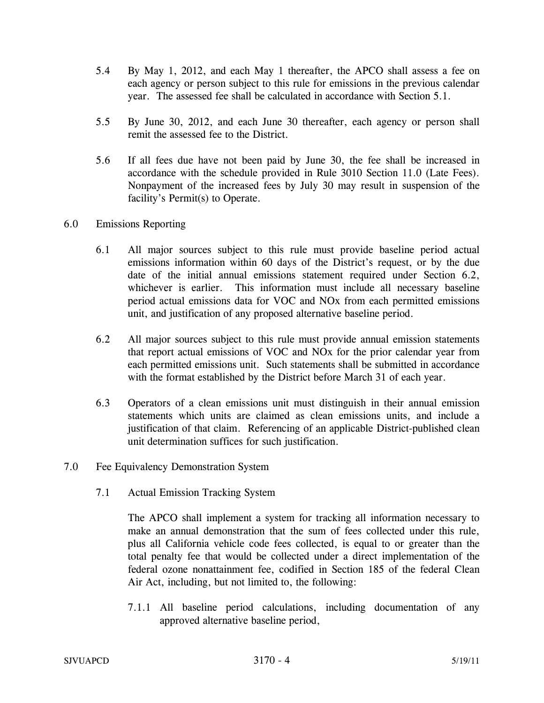- 5.4 By May 1, 2012, and each May 1 thereafter, the APCO shall assess a fee on each agency or person subject to this rule for emissions in the previous calendar year. The assessed fee shall be calculated in accordance with Section 5.1.
- 5.5 By June 30, 2012, and each June 30 thereafter, each agency or person shall remit the assessed fee to the District.
- 5.6 If all fees due have not been paid by June 30, the fee shall be increased in accordance with the schedule provided in Rule 3010 Section 11.0 (Late Fees). Nonpayment of the increased fees by July 30 may result in suspension of the facility's Permit(s) to Operate.
- 6.0 Emissions Reporting
	- 6.1 All major sources subject to this rule must provide baseline period actual emissions information within 60 days of the District's request, or by the due date of the initial annual emissions statement required under Section 6.2, whichever is earlier. This information must include all necessary baseline period actual emissions data for VOC and NOx from each permitted emissions unit, and justification of any proposed alternative baseline period.
	- 6.2 All major sources subject to this rule must provide annual emission statements that report actual emissions of VOC and NOx for the prior calendar year from each permitted emissions unit. Such statements shall be submitted in accordance with the format established by the District before March 31 of each year.
	- 6.3 Operators of a clean emissions unit must distinguish in their annual emission statements which units are claimed as clean emissions units, and include a justification of that claim. Referencing of an applicable District-published clean unit determination suffices for such justification.
- 7.0 Fee Equivalency Demonstration System
	- 7.1 Actual Emission Tracking System

The APCO shall implement a system for tracking all information necessary to make an annual demonstration that the sum of fees collected under this rule, plus all California vehicle code fees collected, is equal to or greater than the total penalty fee that would be collected under a direct implementation of the federal ozone nonattainment fee, codified in Section 185 of the federal Clean Air Act, including, but not limited to, the following:

7.1.1 All baseline period calculations, including documentation of any approved alternative baseline period,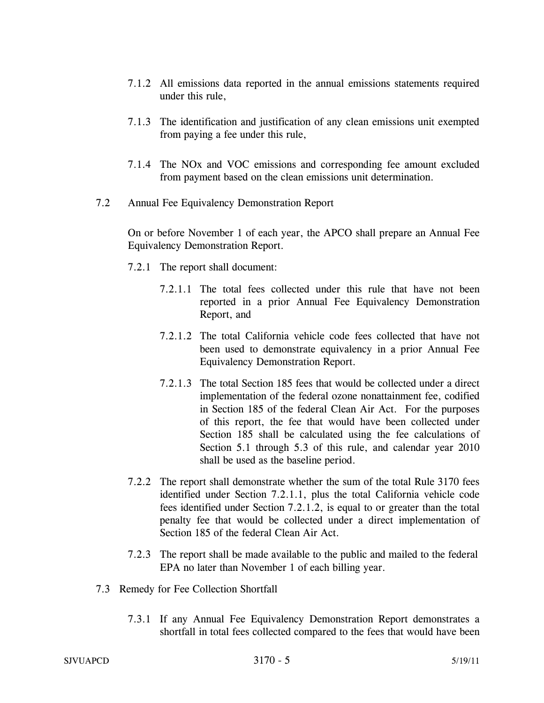- 7.1.2 All emissions data reported in the annual emissions statements required under this rule,
- 7.1.3 The identification and justification of any clean emissions unit exempted from paying a fee under this rule,
- 7.1.4 The NOx and VOC emissions and corresponding fee amount excluded from payment based on the clean emissions unit determination.
- 7.2 Annual Fee Equivalency Demonstration Report

On or before November 1 of each year, the APCO shall prepare an Annual Fee Equivalency Demonstration Report.

- 7.2.1 The report shall document:
	- 7.2.1.1 The total fees collected under this rule that have not been reported in a prior Annual Fee Equivalency Demonstration Report, and
	- 7.2.1.2 The total California vehicle code fees collected that have not been used to demonstrate equivalency in a prior Annual Fee Equivalency Demonstration Report.
	- 7.2.1.3 The total Section 185 fees that would be collected under a direct implementation of the federal ozone nonattainment fee, codified in Section 185 of the federal Clean Air Act. For the purposes of this report, the fee that would have been collected under Section 185 shall be calculated using the fee calculations of Section 5.1 through 5.3 of this rule, and calendar year 2010 shall be used as the baseline period.
- 7.2.2 The report shall demonstrate whether the sum of the total Rule 3170 fees identified under Section 7.2.1.1, plus the total California vehicle code fees identified under Section 7.2.1.2, is equal to or greater than the total penalty fee that would be collected under a direct implementation of Section 185 of the federal Clean Air Act.
- 7.2.3 The report shall be made available to the public and mailed to the federal EPA no later than November 1 of each billing year.
- 7.3 Remedy for Fee Collection Shortfall
	- 7.3.1 If any Annual Fee Equivalency Demonstration Report demonstrates a shortfall in total fees collected compared to the fees that would have been